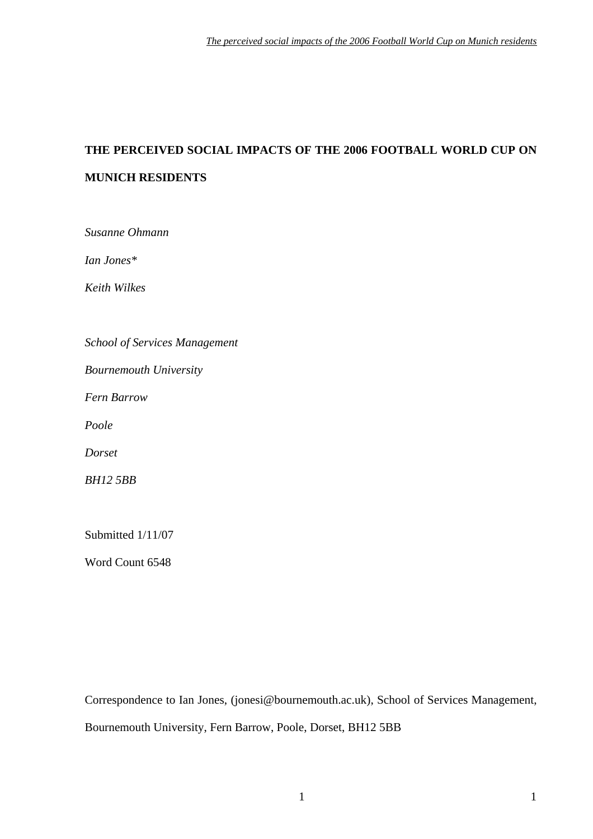# **THE PERCEIVED SOCIAL IMPACTS OF THE 2006 FOOTBALL WORLD CUP ON MUNICH RESIDENTS**

*Susanne Ohmann* 

*Ian Jones\** 

*Keith Wilkes* 

*School of Services Management* 

*Bournemouth University* 

*Fern Barrow* 

*Poole* 

*Dorset* 

*BH12 5BB* 

Submitted 1/11/07

Word Count 6548

Correspondence to Ian Jones, (jonesi@bournemouth.ac.uk), School of Services Management, Bournemouth University, Fern Barrow, Poole, Dorset, BH12 5BB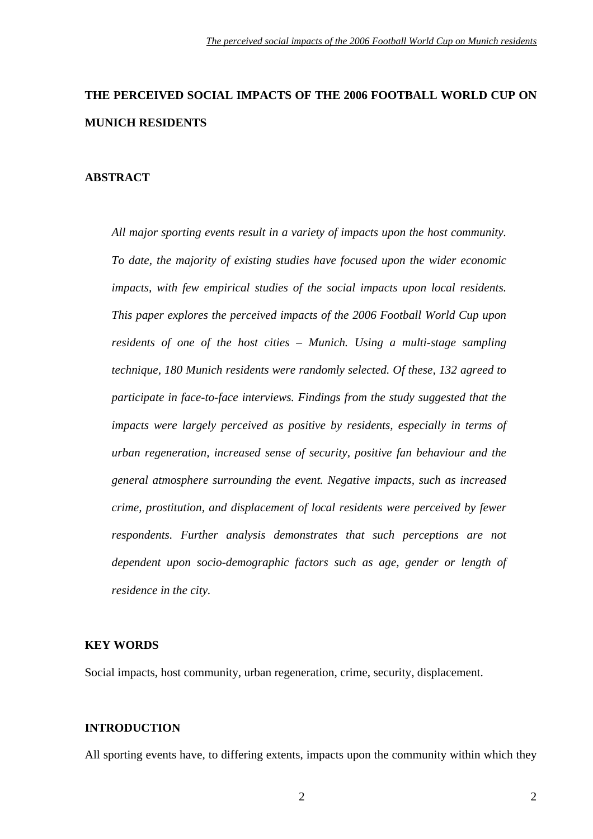# **THE PERCEIVED SOCIAL IMPACTS OF THE 2006 FOOTBALL WORLD CUP ON MUNICH RESIDENTS**

#### **ABSTRACT**

*All major sporting events result in a variety of impacts upon the host community. To date, the majority of existing studies have focused upon the wider economic impacts, with few empirical studies of the social impacts upon local residents. This paper explores the perceived impacts of the 2006 Football World Cup upon residents of one of the host cities – Munich. Using a multi-stage sampling technique, 180 Munich residents were randomly selected. Of these, 132 agreed to participate in face-to-face interviews. Findings from the study suggested that the impacts were largely perceived as positive by residents, especially in terms of urban regeneration, increased sense of security, positive fan behaviour and the general atmosphere surrounding the event. Negative impacts, such as increased crime, prostitution, and displacement of local residents were perceived by fewer respondents. Further analysis demonstrates that such perceptions are not dependent upon socio-demographic factors such as age, gender or length of residence in the city.* 

#### **KEY WORDS**

Social impacts, host community, urban regeneration, crime, security, displacement.

#### **INTRODUCTION**

All sporting events have, to differing extents, impacts upon the community within which they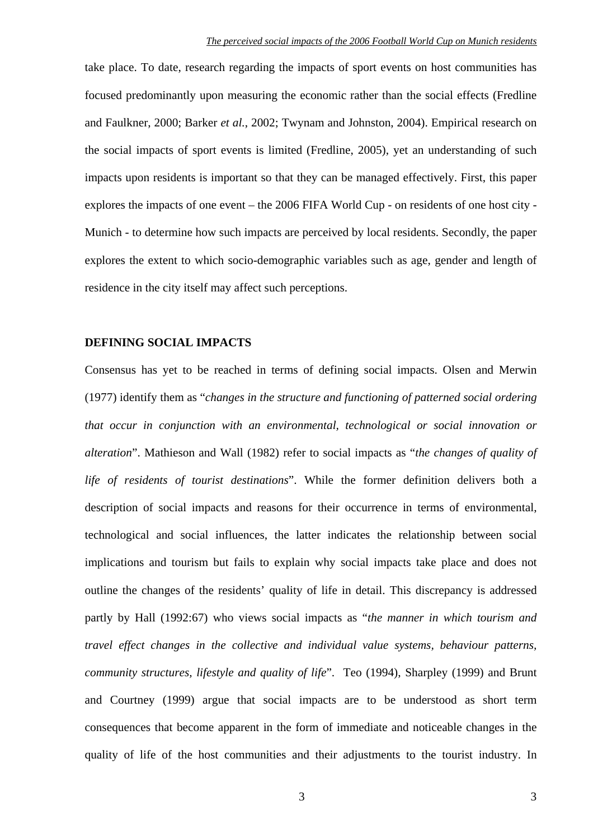take place. To date, research regarding the impacts of sport events on host communities has focused predominantly upon measuring the economic rather than the social effects (Fredline and Faulkner, 2000; Barker *et al.*, 2002; Twynam and Johnston, 2004). Empirical research on the social impacts of sport events is limited (Fredline, 2005), yet an understanding of such impacts upon residents is important so that they can be managed effectively. First, this paper explores the impacts of one event – the 2006 FIFA World Cup - on residents of one host city - Munich - to determine how such impacts are perceived by local residents. Secondly, the paper explores the extent to which socio-demographic variables such as age, gender and length of residence in the city itself may affect such perceptions.

#### **DEFINING SOCIAL IMPACTS**

Consensus has yet to be reached in terms of defining social impacts. Olsen and Merwin (1977) identify them as "*changes in the structure and functioning of patterned social ordering that occur in conjunction with an environmental, technological or social innovation or alteration*". Mathieson and Wall (1982) refer to social impacts as "*the changes of quality of life of residents of tourist destinations*". While the former definition delivers both a description of social impacts and reasons for their occurrence in terms of environmental, technological and social influences, the latter indicates the relationship between social implications and tourism but fails to explain why social impacts take place and does not outline the changes of the residents' quality of life in detail. This discrepancy is addressed partly by Hall (1992:67) who views social impacts as "*the manner in which tourism and travel effect changes in the collective and individual value systems, behaviour patterns, community structures, lifestyle and quality of life*". Teo (1994), Sharpley (1999) and Brunt and Courtney (1999) argue that social impacts are to be understood as short term consequences that become apparent in the form of immediate and noticeable changes in the quality of life of the host communities and their adjustments to the tourist industry. In

3 3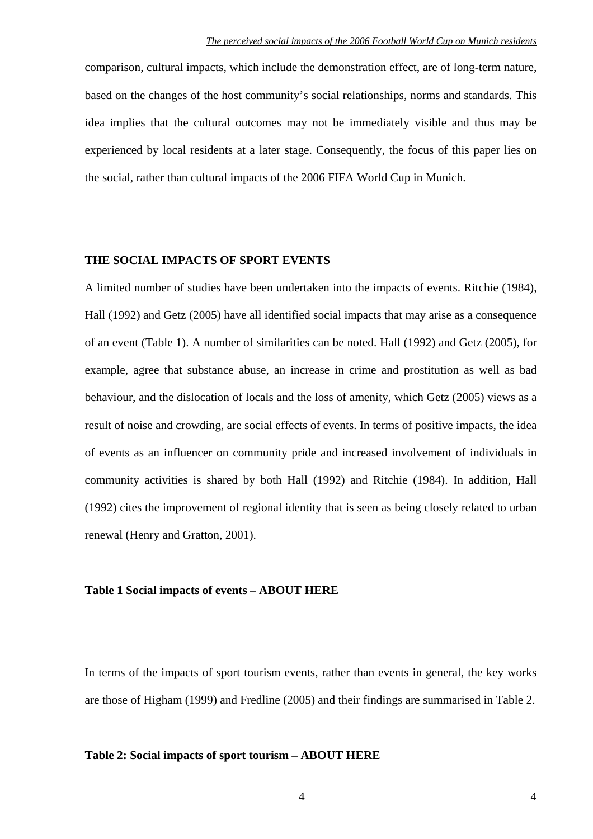comparison, cultural impacts, which include the demonstration effect, are of long-term nature, based on the changes of the host community's social relationships, norms and standards*.* This idea implies that the cultural outcomes may not be immediately visible and thus may be experienced by local residents at a later stage. Consequently, the focus of this paper lies on the social, rather than cultural impacts of the 2006 FIFA World Cup in Munich.

### **THE SOCIAL IMPACTS OF SPORT EVENTS**

A limited number of studies have been undertaken into the impacts of events. Ritchie (1984), Hall (1992) and Getz (2005) have all identified social impacts that may arise as a consequence of an event (Table 1). A number of similarities can be noted. Hall (1992) and Getz (2005), for example, agree that substance abuse, an increase in crime and prostitution as well as bad behaviour, and the dislocation of locals and the loss of amenity, which Getz (2005) views as a result of noise and crowding, are social effects of events. In terms of positive impacts, the idea of events as an influencer on community pride and increased involvement of individuals in community activities is shared by both Hall (1992) and Ritchie (1984). In addition, Hall (1992) cites the improvement of regional identity that is seen as being closely related to urban renewal (Henry and Gratton, 2001).

#### **Table 1 Social impacts of events – ABOUT HERE**

In terms of the impacts of sport tourism events, rather than events in general, the key works are those of Higham (1999) and Fredline (2005) and their findings are summarised in Table 2.

#### **Table 2: Social impacts of sport tourism – ABOUT HERE**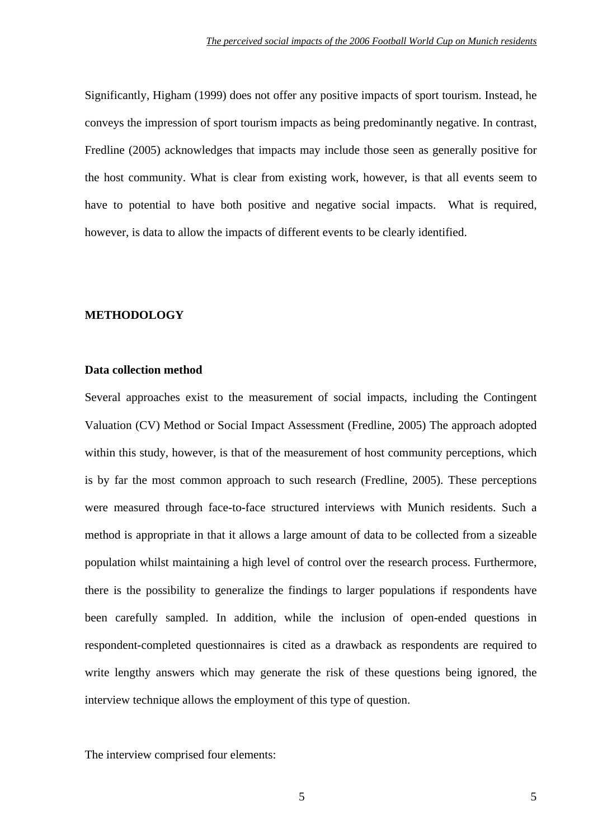Significantly, Higham (1999) does not offer any positive impacts of sport tourism. Instead, he conveys the impression of sport tourism impacts as being predominantly negative. In contrast, Fredline (2005) acknowledges that impacts may include those seen as generally positive for the host community. What is clear from existing work, however, is that all events seem to have to potential to have both positive and negative social impacts. What is required, however, is data to allow the impacts of different events to be clearly identified.

## **METHODOLOGY**

## **Data collection method**

Several approaches exist to the measurement of social impacts, including the Contingent Valuation (CV) Method or Social Impact Assessment (Fredline, 2005) The approach adopted within this study, however, is that of the measurement of host community perceptions, which is by far the most common approach to such research (Fredline, 2005). These perceptions were measured through face-to-face structured interviews with Munich residents. Such a method is appropriate in that it allows a large amount of data to be collected from a sizeable population whilst maintaining a high level of control over the research process. Furthermore, there is the possibility to generalize the findings to larger populations if respondents have been carefully sampled. In addition, while the inclusion of open-ended questions in respondent-completed questionnaires is cited as a drawback as respondents are required to write lengthy answers which may generate the risk of these questions being ignored, the interview technique allows the employment of this type of question.

The interview comprised four elements: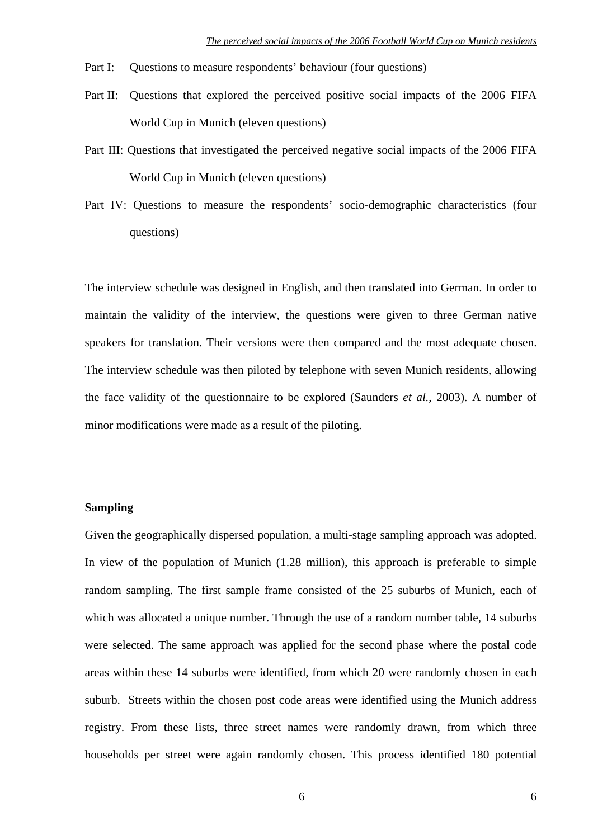- Part I: Questions to measure respondents' behaviour (four questions)
- Part II: Questions that explored the perceived positive social impacts of the 2006 FIFA World Cup in Munich (eleven questions)
- Part III: Questions that investigated the perceived negative social impacts of the 2006 FIFA World Cup in Munich (eleven questions)
- Part IV: Questions to measure the respondents' socio-demographic characteristics (four questions)

The interview schedule was designed in English, and then translated into German. In order to maintain the validity of the interview, the questions were given to three German native speakers for translation. Their versions were then compared and the most adequate chosen. The interview schedule was then piloted by telephone with seven Munich residents, allowing the face validity of the questionnaire to be explored (Saunders *et al.*, 2003). A number of minor modifications were made as a result of the piloting.

# **Sampling**

Given the geographically dispersed population, a multi-stage sampling approach was adopted. In view of the population of Munich (1.28 million), this approach is preferable to simple random sampling. The first sample frame consisted of the 25 suburbs of Munich, each of which was allocated a unique number. Through the use of a random number table, 14 suburbs were selected. The same approach was applied for the second phase where the postal code areas within these 14 suburbs were identified, from which 20 were randomly chosen in each suburb. Streets within the chosen post code areas were identified using the Munich address registry. From these lists, three street names were randomly drawn, from which three households per street were again randomly chosen. This process identified 180 potential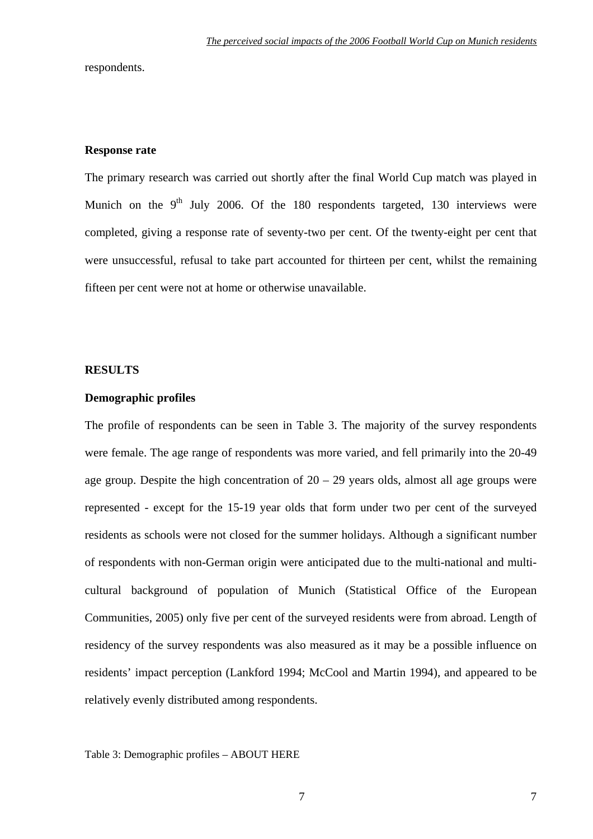respondents.

#### **Response rate**

The primary research was carried out shortly after the final World Cup match was played in Munich on the  $9<sup>th</sup>$  July 2006. Of the 180 respondents targeted, 130 interviews were completed, giving a response rate of seventy-two per cent. Of the twenty-eight per cent that were unsuccessful, refusal to take part accounted for thirteen per cent, whilst the remaining fifteen per cent were not at home or otherwise unavailable.

#### **RESULTS**

#### **Demographic profiles**

The profile of respondents can be seen in Table 3. The majority of the survey respondents were female. The age range of respondents was more varied, and fell primarily into the 20-49 age group. Despite the high concentration of  $20 - 29$  years olds, almost all age groups were represented - except for the 15-19 year olds that form under two per cent of the surveyed residents as schools were not closed for the summer holidays. Although a significant number of respondents with non-German origin were anticipated due to the multi-national and multicultural background of population of Munich (Statistical Office of the European Communities, 2005) only five per cent of the surveyed residents were from abroad. Length of residency of the survey respondents was also measured as it may be a possible influence on residents' impact perception (Lankford 1994; McCool and Martin 1994), and appeared to be relatively evenly distributed among respondents.

Table 3: Demographic profiles – ABOUT HERE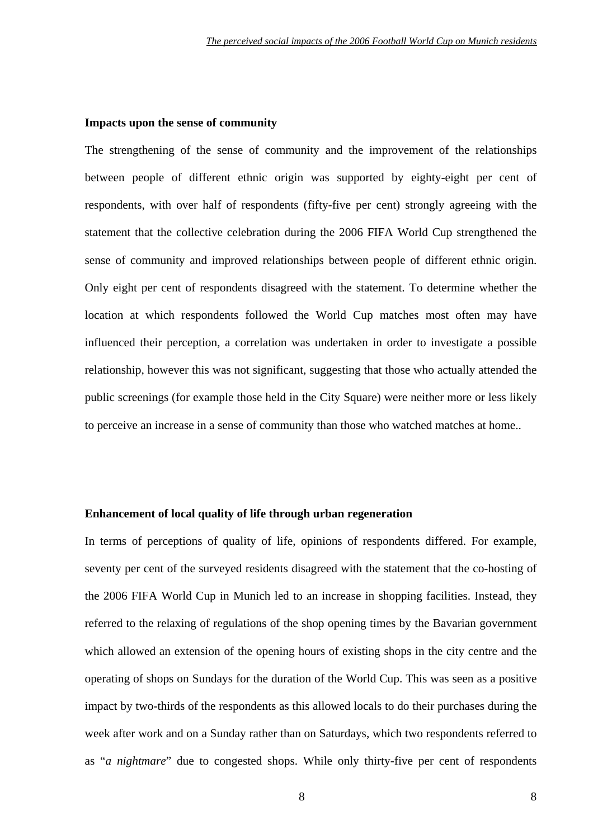#### **Impacts upon the sense of community**

The strengthening of the sense of community and the improvement of the relationships between people of different ethnic origin was supported by eighty-eight per cent of respondents, with over half of respondents (fifty-five per cent) strongly agreeing with the statement that the collective celebration during the 2006 FIFA World Cup strengthened the sense of community and improved relationships between people of different ethnic origin. Only eight per cent of respondents disagreed with the statement. To determine whether the location at which respondents followed the World Cup matches most often may have influenced their perception, a correlation was undertaken in order to investigate a possible relationship, however this was not significant, suggesting that those who actually attended the public screenings (for example those held in the City Square) were neither more or less likely to perceive an increase in a sense of community than those who watched matches at home..

#### **Enhancement of local quality of life through urban regeneration**

In terms of perceptions of quality of life, opinions of respondents differed. For example, seventy per cent of the surveyed residents disagreed with the statement that the co-hosting of the 2006 FIFA World Cup in Munich led to an increase in shopping facilities. Instead, they referred to the relaxing of regulations of the shop opening times by the Bavarian government which allowed an extension of the opening hours of existing shops in the city centre and the operating of shops on Sundays for the duration of the World Cup. This was seen as a positive impact by two-thirds of the respondents as this allowed locals to do their purchases during the week after work and on a Sunday rather than on Saturdays, which two respondents referred to as "*a nightmare*" due to congested shops. While only thirty-five per cent of respondents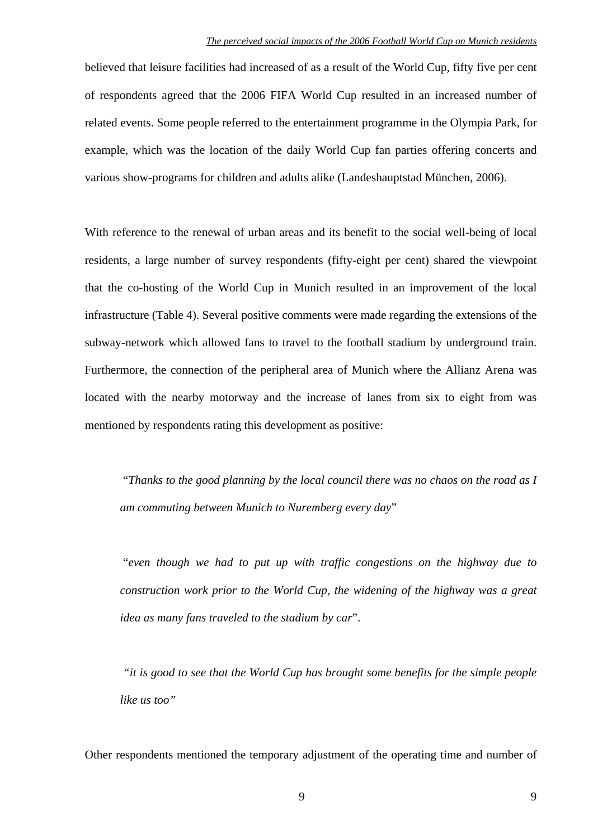believed that leisure facilities had increased of as a result of the World Cup, fifty five per cent of respondents agreed that the 2006 FIFA World Cup resulted in an increased number of related events. Some people referred to the entertainment programme in the Olympia Park, for example, which was the location of the daily World Cup fan parties offering concerts and various show-programs for children and adults alike (Landeshauptstad München, 2006).

With reference to the renewal of urban areas and its benefit to the social well-being of local residents, a large number of survey respondents (fifty-eight per cent) shared the viewpoint that the co-hosting of the World Cup in Munich resulted in an improvement of the local infrastructure (Table 4). Several positive comments were made regarding the extensions of the subway-network which allowed fans to travel to the football stadium by underground train. Furthermore, the connection of the peripheral area of Munich where the Allianz Arena was located with the nearby motorway and the increase of lanes from six to eight from was mentioned by respondents rating this development as positive:

 "*Thanks to the good planning by the local council there was no chaos on the road as I am commuting between Munich to Nuremberg every day*"

"*even though we had to put up with traffic congestions on the highway due to construction work prior to the World Cup, the widening of the highway was a great idea as many fans traveled to the stadium by car*".

*"it is good to see that the World Cup has brought some benefits for the simple people like us too"* 

Other respondents mentioned the temporary adjustment of the operating time and number of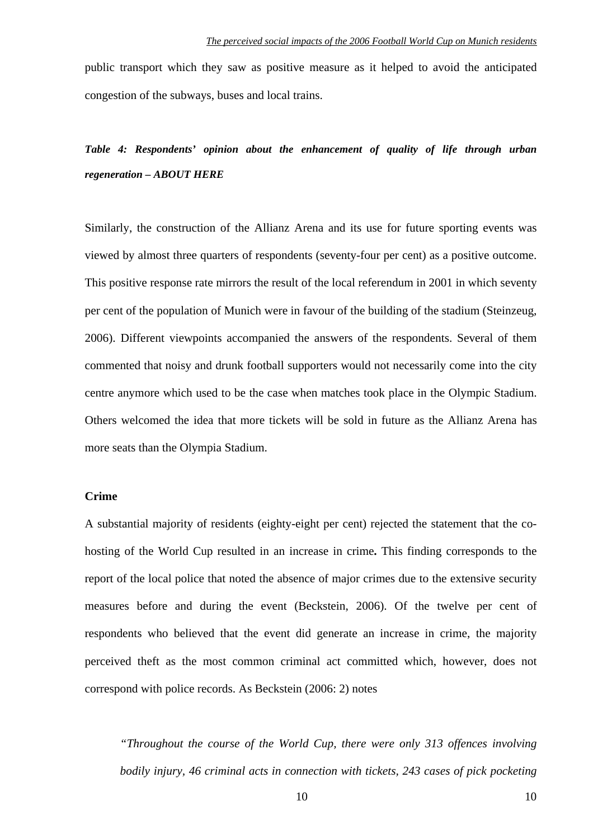public transport which they saw as positive measure as it helped to avoid the anticipated congestion of the subways, buses and local trains.

*Table 4: Respondents' opinion about the enhancement of quality of life through urban regeneration – ABOUT HERE* 

Similarly, the construction of the Allianz Arena and its use for future sporting events was viewed by almost three quarters of respondents (seventy-four per cent) as a positive outcome. This positive response rate mirrors the result of the local referendum in 2001 in which seventy per cent of the population of Munich were in favour of the building of the stadium (Steinzeug, 2006). Different viewpoints accompanied the answers of the respondents. Several of them commented that noisy and drunk football supporters would not necessarily come into the city centre anymore which used to be the case when matches took place in the Olympic Stadium. Others welcomed the idea that more tickets will be sold in future as the Allianz Arena has more seats than the Olympia Stadium.

# **Crime**

A substantial majority of residents (eighty-eight per cent) rejected the statement that the cohosting of the World Cup resulted in an increase in crime**.** This finding corresponds to the report of the local police that noted the absence of major crimes due to the extensive security measures before and during the event (Beckstein, 2006). Of the twelve per cent of respondents who believed that the event did generate an increase in crime, the majority perceived theft as the most common criminal act committed which, however, does not correspond with police records. As Beckstein (2006: 2) notes

*"Throughout the course of the World Cup, there were only 313 offences involving bodily injury, 46 criminal acts in connection with tickets, 243 cases of pick pocketing*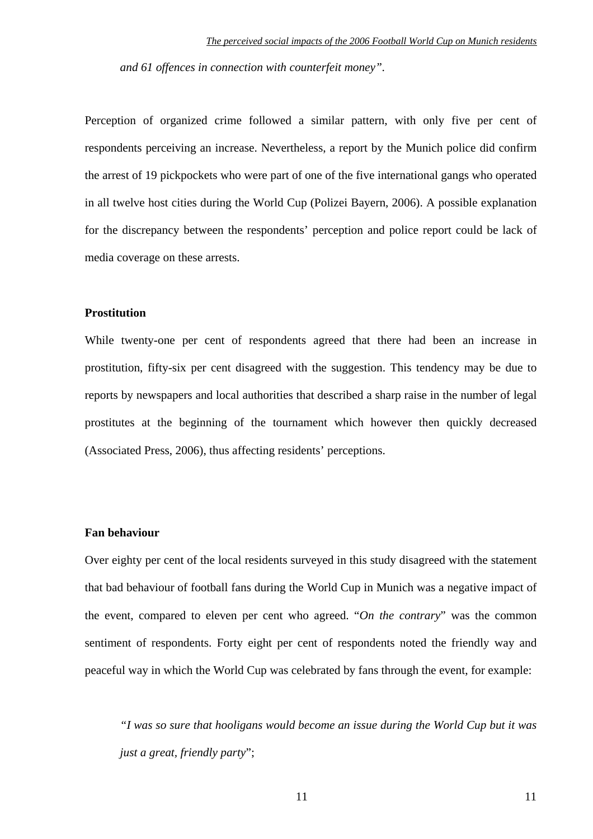*and 61 offences in connection with counterfeit money".* 

Perception of organized crime followed a similar pattern, with only five per cent of respondents perceiving an increase. Nevertheless, a report by the Munich police did confirm the arrest of 19 pickpockets who were part of one of the five international gangs who operated in all twelve host cities during the World Cup (Polizei Bayern, 2006). A possible explanation for the discrepancy between the respondents' perception and police report could be lack of media coverage on these arrests.

#### **Prostitution**

While twenty-one per cent of respondents agreed that there had been an increase in prostitution, fifty-six per cent disagreed with the suggestion. This tendency may be due to reports by newspapers and local authorities that described a sharp raise in the number of legal prostitutes at the beginning of the tournament which however then quickly decreased (Associated Press, 2006), thus affecting residents' perceptions.

#### **Fan behaviour**

Over eighty per cent of the local residents surveyed in this study disagreed with the statement that bad behaviour of football fans during the World Cup in Munich was a negative impact of the event, compared to eleven per cent who agreed. "*On the contrary*" was the common sentiment of respondents. Forty eight per cent of respondents noted the friendly way and peaceful way in which the World Cup was celebrated by fans through the event, for example:

 *"I was so sure that hooligans would become an issue during the World Cup but it was just a great, friendly party*";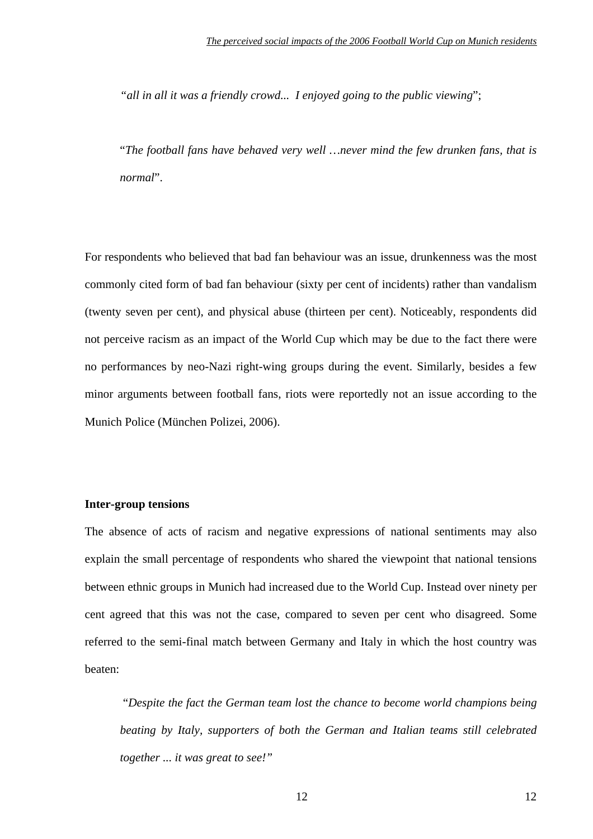*"all in all it was a friendly crowd... I enjoyed going to the public viewing*";

"*The football fans have behaved very well …never mind the few drunken fans, that is normal*".

For respondents who believed that bad fan behaviour was an issue, drunkenness was the most commonly cited form of bad fan behaviour (sixty per cent of incidents) rather than vandalism (twenty seven per cent), and physical abuse (thirteen per cent). Noticeably, respondents did not perceive racism as an impact of the World Cup which may be due to the fact there were no performances by neo-Nazi right-wing groups during the event. Similarly, besides a few minor arguments between football fans, riots were reportedly not an issue according to the Munich Police (München Polizei, 2006).

## **Inter-group tensions**

The absence of acts of racism and negative expressions of national sentiments may also explain the small percentage of respondents who shared the viewpoint that national tensions between ethnic groups in Munich had increased due to the World Cup. Instead over ninety per cent agreed that this was not the case, compared to seven per cent who disagreed. Some referred to the semi-final match between Germany and Italy in which the host country was beaten:

"*Despite the fact the German team lost the chance to become world champions being beating by Italy, supporters of both the German and Italian teams still celebrated together ... it was great to see!"*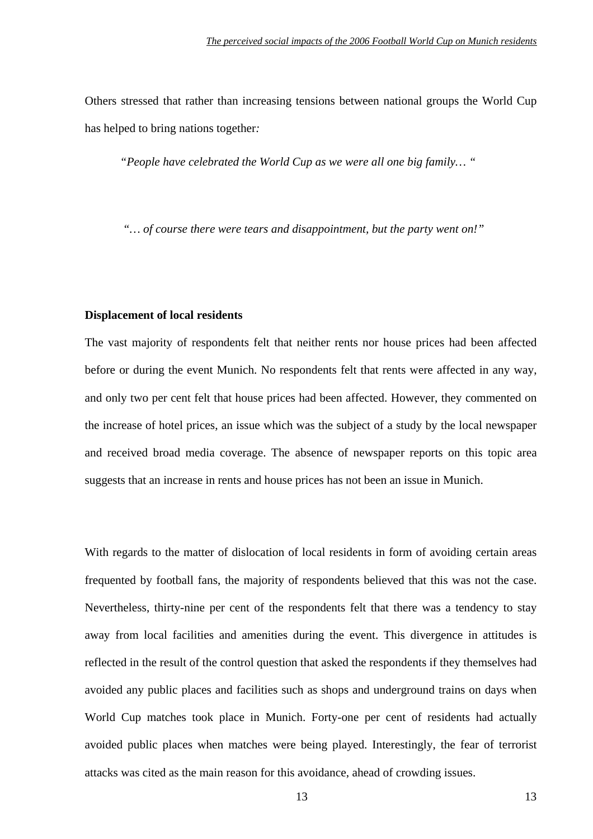Others stressed that rather than increasing tensions between national groups the World Cup has helped to bring nations together*:* 

 *"People have celebrated the World Cup as we were all one big family… "* 

 *"… of course there were tears and disappointment, but the party went on!"* 

#### **Displacement of local residents**

The vast majority of respondents felt that neither rents nor house prices had been affected before or during the event Munich. No respondents felt that rents were affected in any way, and only two per cent felt that house prices had been affected. However, they commented on the increase of hotel prices, an issue which was the subject of a study by the local newspaper and received broad media coverage. The absence of newspaper reports on this topic area suggests that an increase in rents and house prices has not been an issue in Munich.

With regards to the matter of dislocation of local residents in form of avoiding certain areas frequented by football fans, the majority of respondents believed that this was not the case. Nevertheless, thirty-nine per cent of the respondents felt that there was a tendency to stay away from local facilities and amenities during the event. This divergence in attitudes is reflected in the result of the control question that asked the respondents if they themselves had avoided any public places and facilities such as shops and underground trains on days when World Cup matches took place in Munich. Forty-one per cent of residents had actually avoided public places when matches were being played. Interestingly, the fear of terrorist attacks was cited as the main reason for this avoidance, ahead of crowding issues.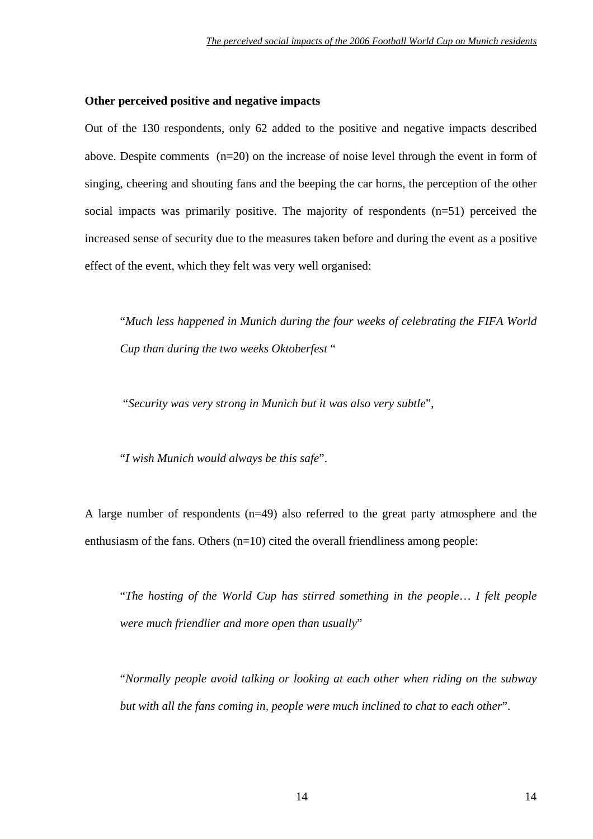#### **Other perceived positive and negative impacts**

Out of the 130 respondents, only 62 added to the positive and negative impacts described above. Despite comments (n=20) on the increase of noise level through the event in form of singing, cheering and shouting fans and the beeping the car horns, the perception of the other social impacts was primarily positive. The majority of respondents (n=51) perceived the increased sense of security due to the measures taken before and during the event as a positive effect of the event, which they felt was very well organised:

 "*Much less happened in Munich during the four weeks of celebrating the FIFA World Cup than during the two weeks Oktoberfest* "

"*Security was very strong in Munich but it was also very subtle*",

"*I wish Munich would always be this safe*".

A large number of respondents (n=49) also referred to the great party atmosphere and the enthusiasm of the fans. Others  $(n=10)$  cited the overall friendliness among people:

 "*The hosting of the World Cup has stirred something in the people*… *I felt people were much friendlier and more open than usually*"

 "*Normally people avoid talking or looking at each other when riding on the subway but with all the fans coming in, people were much inclined to chat to each other*".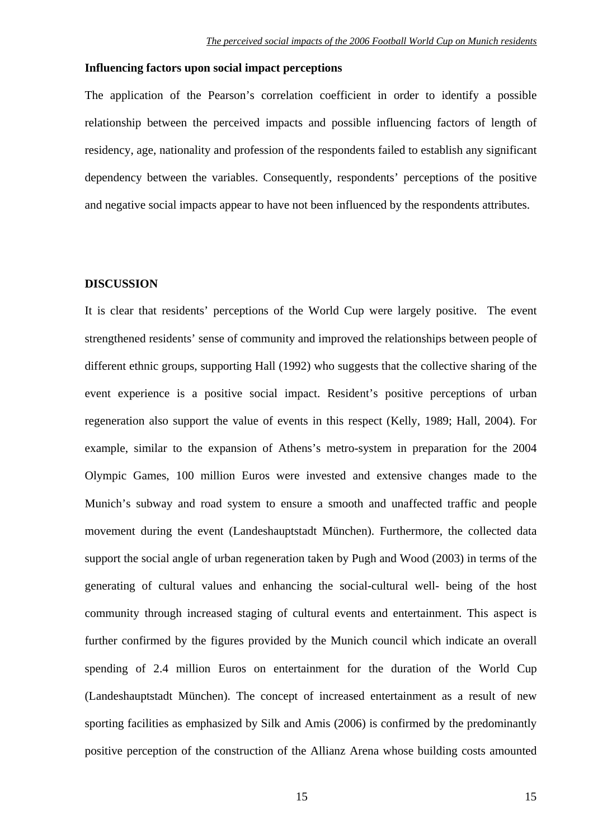#### **Influencing factors upon social impact perceptions**

The application of the Pearson's correlation coefficient in order to identify a possible relationship between the perceived impacts and possible influencing factors of length of residency, age, nationality and profession of the respondents failed to establish any significant dependency between the variables. Consequently, respondents' perceptions of the positive and negative social impacts appear to have not been influenced by the respondents attributes.

#### **DISCUSSION**

It is clear that residents' perceptions of the World Cup were largely positive. The event strengthened residents' sense of community and improved the relationships between people of different ethnic groups, supporting Hall (1992) who suggests that the collective sharing of the event experience is a positive social impact. Resident's positive perceptions of urban regeneration also support the value of events in this respect (Kelly, 1989; Hall, 2004). For example, similar to the expansion of Athens's metro-system in preparation for the 2004 Olympic Games, 100 million Euros were invested and extensive changes made to the Munich's subway and road system to ensure a smooth and unaffected traffic and people movement during the event (Landeshauptstadt München). Furthermore, the collected data support the social angle of urban regeneration taken by Pugh and Wood (2003) in terms of the generating of cultural values and enhancing the social-cultural well- being of the host community through increased staging of cultural events and entertainment. This aspect is further confirmed by the figures provided by the Munich council which indicate an overall spending of 2.4 million Euros on entertainment for the duration of the World Cup (Landeshauptstadt München). The concept of increased entertainment as a result of new sporting facilities as emphasized by Silk and Amis (2006) is confirmed by the predominantly positive perception of the construction of the Allianz Arena whose building costs amounted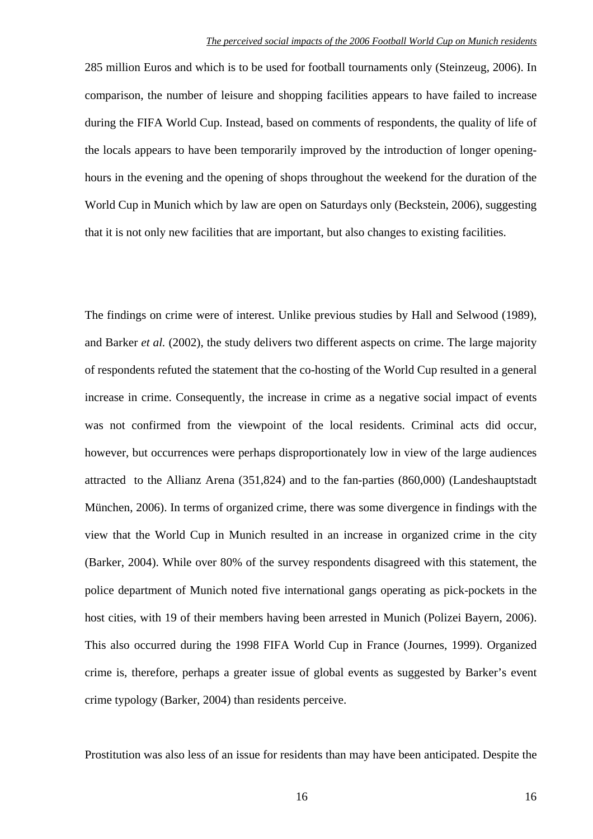285 million Euros and which is to be used for football tournaments only (Steinzeug, 2006). In comparison, the number of leisure and shopping facilities appears to have failed to increase during the FIFA World Cup. Instead, based on comments of respondents, the quality of life of the locals appears to have been temporarily improved by the introduction of longer openinghours in the evening and the opening of shops throughout the weekend for the duration of the World Cup in Munich which by law are open on Saturdays only (Beckstein, 2006), suggesting that it is not only new facilities that are important, but also changes to existing facilities.

The findings on crime were of interest. Unlike previous studies by Hall and Selwood (1989), and Barker *et al.* (2002), the study delivers two different aspects on crime. The large majority of respondents refuted the statement that the co-hosting of the World Cup resulted in a general increase in crime. Consequently, the increase in crime as a negative social impact of events was not confirmed from the viewpoint of the local residents. Criminal acts did occur, however, but occurrences were perhaps disproportionately low in view of the large audiences attracted to the Allianz Arena (351,824) and to the fan-parties (860,000) (Landeshauptstadt München, 2006). In terms of organized crime, there was some divergence in findings with the view that the World Cup in Munich resulted in an increase in organized crime in the city (Barker, 2004). While over 80% of the survey respondents disagreed with this statement, the police department of Munich noted five international gangs operating as pick-pockets in the host cities, with 19 of their members having been arrested in Munich (Polizei Bayern, 2006). This also occurred during the 1998 FIFA World Cup in France (Journes, 1999). Organized crime is, therefore, perhaps a greater issue of global events as suggested by Barker's event crime typology (Barker, 2004) than residents perceive.

Prostitution was also less of an issue for residents than may have been anticipated. Despite the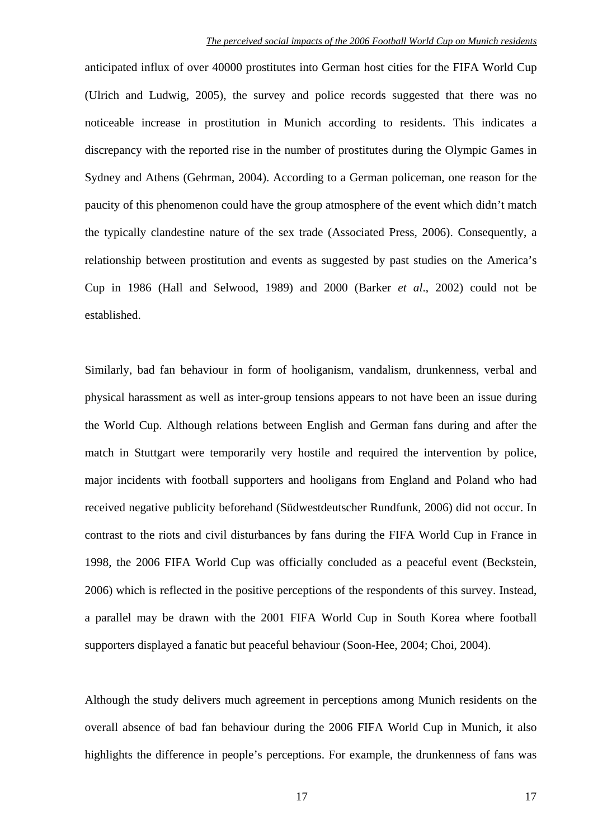anticipated influx of over 40000 prostitutes into German host cities for the FIFA World Cup (Ulrich and Ludwig, 2005), the survey and police records suggested that there was no noticeable increase in prostitution in Munich according to residents. This indicates a discrepancy with the reported rise in the number of prostitutes during the Olympic Games in Sydney and Athens (Gehrman, 2004). According to a German policeman, one reason for the paucity of this phenomenon could have the group atmosphere of the event which didn't match the typically clandestine nature of the sex trade (Associated Press, 2006). Consequently, a relationship between prostitution and events as suggested by past studies on the America's Cup in 1986 (Hall and Selwood, 1989) and 2000 (Barker *et al*., 2002) could not be established.

Similarly, bad fan behaviour in form of hooliganism, vandalism, drunkenness, verbal and physical harassment as well as inter-group tensions appears to not have been an issue during the World Cup. Although relations between English and German fans during and after the match in Stuttgart were temporarily very hostile and required the intervention by police, major incidents with football supporters and hooligans from England and Poland who had received negative publicity beforehand (Südwestdeutscher Rundfunk, 2006) did not occur. In contrast to the riots and civil disturbances by fans during the FIFA World Cup in France in 1998, the 2006 FIFA World Cup was officially concluded as a peaceful event (Beckstein, 2006) which is reflected in the positive perceptions of the respondents of this survey. Instead, a parallel may be drawn with the 2001 FIFA World Cup in South Korea where football supporters displayed a fanatic but peaceful behaviour (Soon-Hee, 2004; Choi, 2004).

Although the study delivers much agreement in perceptions among Munich residents on the overall absence of bad fan behaviour during the 2006 FIFA World Cup in Munich, it also highlights the difference in people's perceptions. For example, the drunkenness of fans was

17 17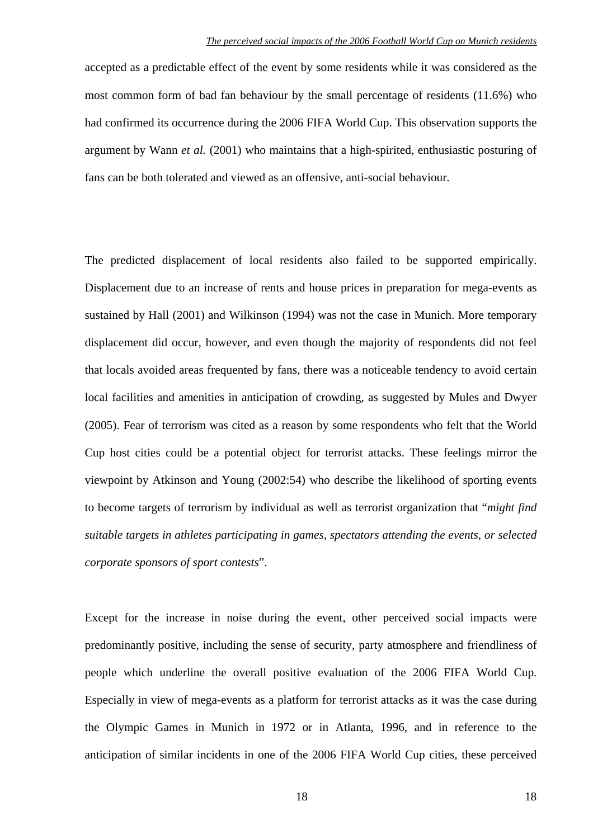accepted as a predictable effect of the event by some residents while it was considered as the most common form of bad fan behaviour by the small percentage of residents (11.6%) who had confirmed its occurrence during the 2006 FIFA World Cup. This observation supports the argument by Wann *et al.* (2001) who maintains that a high-spirited, enthusiastic posturing of fans can be both tolerated and viewed as an offensive, anti-social behaviour.

The predicted displacement of local residents also failed to be supported empirically. Displacement due to an increase of rents and house prices in preparation for mega-events as sustained by Hall (2001) and Wilkinson (1994) was not the case in Munich. More temporary displacement did occur, however, and even though the majority of respondents did not feel that locals avoided areas frequented by fans, there was a noticeable tendency to avoid certain local facilities and amenities in anticipation of crowding, as suggested by Mules and Dwyer (2005). Fear of terrorism was cited as a reason by some respondents who felt that the World Cup host cities could be a potential object for terrorist attacks. These feelings mirror the viewpoint by Atkinson and Young (2002:54) who describe the likelihood of sporting events to become targets of terrorism by individual as well as terrorist organization that "*might find suitable targets in athletes participating in games, spectators attending the events, or selected corporate sponsors of sport contests*".

Except for the increase in noise during the event, other perceived social impacts were predominantly positive, including the sense of security, party atmosphere and friendliness of people which underline the overall positive evaluation of the 2006 FIFA World Cup. Especially in view of mega-events as a platform for terrorist attacks as it was the case during the Olympic Games in Munich in 1972 or in Atlanta, 1996, and in reference to the anticipation of similar incidents in one of the 2006 FIFA World Cup cities, these perceived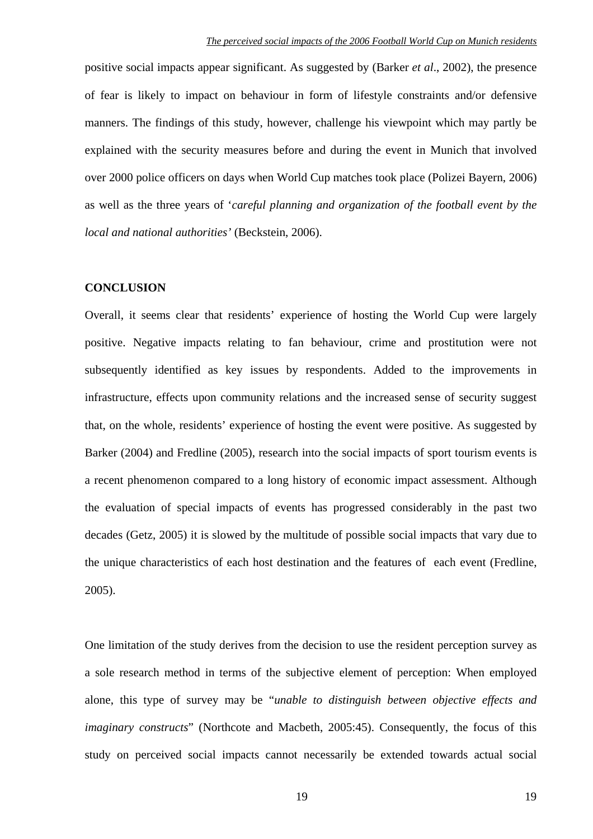positive social impacts appear significant. As suggested by (Barker *et al*., 2002), the presence of fear is likely to impact on behaviour in form of lifestyle constraints and/or defensive manners. The findings of this study, however, challenge his viewpoint which may partly be explained with the security measures before and during the event in Munich that involved over 2000 police officers on days when World Cup matches took place (Polizei Bayern, 2006) as well as the three years of '*careful planning and organization of the football event by the local and national authorities'* (Beckstein, 2006).

#### **CONCLUSION**

Overall, it seems clear that residents' experience of hosting the World Cup were largely positive. Negative impacts relating to fan behaviour, crime and prostitution were not subsequently identified as key issues by respondents. Added to the improvements in infrastructure, effects upon community relations and the increased sense of security suggest that, on the whole, residents' experience of hosting the event were positive. As suggested by Barker (2004) and Fredline (2005), research into the social impacts of sport tourism events is a recent phenomenon compared to a long history of economic impact assessment. Although the evaluation of special impacts of events has progressed considerably in the past two decades (Getz, 2005) it is slowed by the multitude of possible social impacts that vary due to the unique characteristics of each host destination and the features of each event (Fredline, 2005).

One limitation of the study derives from the decision to use the resident perception survey as a sole research method in terms of the subjective element of perception: When employed alone, this type of survey may be "*unable to distinguish between objective effects and imaginary constructs*" (Northcote and Macbeth, 2005:45). Consequently, the focus of this study on perceived social impacts cannot necessarily be extended towards actual social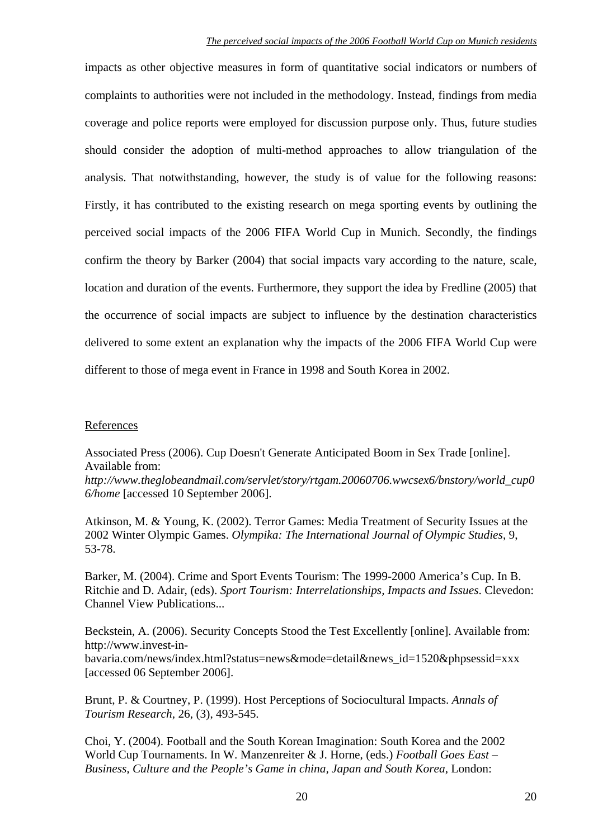impacts as other objective measures in form of quantitative social indicators or numbers of complaints to authorities were not included in the methodology. Instead, findings from media coverage and police reports were employed for discussion purpose only. Thus, future studies should consider the adoption of multi-method approaches to allow triangulation of the analysis. That notwithstanding, however, the study is of value for the following reasons: Firstly, it has contributed to the existing research on mega sporting events by outlining the perceived social impacts of the 2006 FIFA World Cup in Munich. Secondly, the findings confirm the theory by Barker (2004) that social impacts vary according to the nature, scale, location and duration of the events. Furthermore, they support the idea by Fredline (2005) that the occurrence of social impacts are subject to influence by the destination characteristics delivered to some extent an explanation why the impacts of the 2006 FIFA World Cup were different to those of mega event in France in 1998 and South Korea in 2002.

# References

Associated Press (2006). Cup Doesn't Generate Anticipated Boom in Sex Trade [online]. Available from:

*http://www.theglobeandmail.com/servlet/story/rtgam.20060706.wwcsex6/bnstory/world\_cup0 6/home* [accessed 10 September 2006].

Atkinson, M. & Young, K. (2002). Terror Games: Media Treatment of Security Issues at the 2002 Winter Olympic Games. *Olympika: The International Journal of Olympic Studies*, 9, 53-78.

Barker, M. (2004). Crime and Sport Events Tourism: The 1999-2000 America's Cup. In B. Ritchie and D. Adair, (eds). *Sport Tourism: Interrelationships, Impacts and Issues*. Clevedon: Channel View Publications...

Beckstein, A. (2006). Security Concepts Stood the Test Excellently [online]. Available from: http://www.invest-inbavaria.com/news/index.html?status=news&mode=detail&news\_id=1520&phpsessid=xxx [accessed 06 September 2006].

Brunt, P. & Courtney, P. (1999). Host Perceptions of Sociocultural Impacts. *Annals of Tourism Research*, 26, (3), 493-545.

Choi, Y. (2004). Football and the South Korean Imagination: South Korea and the 2002 World Cup Tournaments. In W. Manzenreiter & J. Horne, (eds.) *Football Goes East – Business, Culture and the People's Game in china, Japan and South Korea*, London: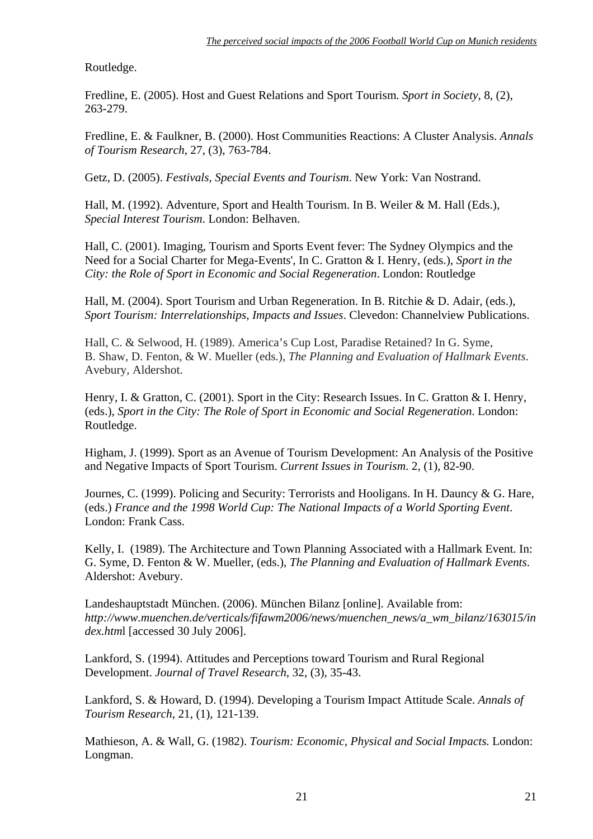Routledge.

Fredline, E. (2005). Host and Guest Relations and Sport Tourism. *Sport in Society*, 8, (2), 263-279.

Fredline, E. & Faulkner, B. (2000). Host Communities Reactions: A Cluster Analysis. *Annals of Tourism Research*, 27, (3), 763-784.

Getz, D. (2005). *Festivals, Special Events and Tourism*. New York: Van Nostrand.

Hall, M. (1992). Adventure, Sport and Health Tourism. In B. Weiler & M. Hall (Eds.), *Special Interest Tourism*. London: Belhaven.

Hall, C. (2001). Imaging, Tourism and Sports Event fever: The Sydney Olympics and the Need for a Social Charter for Mega-Events', In C. Gratton & I. Henry, (eds.), *Sport in the City: the Role of Sport in Economic and Social Regeneration*. London: Routledge

Hall, M. (2004). Sport Tourism and Urban Regeneration. In B. Ritchie & D. Adair, (eds.), *Sport Tourism: Interrelationships, Impacts and Issues*. Clevedon: Channelview Publications.

Hall, C. & Selwood, H. (1989). America's Cup Lost, Paradise Retained? In G. Syme, B. Shaw, D. Fenton, & W. Mueller (eds.), *The Planning and Evaluation of Hallmark Events*. Avebury, Aldershot.

Henry, I. & Gratton, C. (2001). Sport in the City: Research Issues. In C. Gratton & I. Henry, (eds.), *Sport in the City: The Role of Sport in Economic and Social Regeneration*. London: Routledge.

Higham, J. (1999). Sport as an Avenue of Tourism Development: An Analysis of the Positive and Negative Impacts of Sport Tourism. *Current Issues in Tourism*. 2, (1), 82-90.

Journes, C. (1999). Policing and Security: Terrorists and Hooligans. In H. Dauncy & G. Hare, (eds.) *France and the 1998 World Cup: The National Impacts of a World Sporting Event*. London: Frank Cass.

Kelly, I. (1989). The Architecture and Town Planning Associated with a Hallmark Event. In: G. Syme, D. Fenton & W. Mueller, (eds.), *The Planning and Evaluation of Hallmark Events*. Aldershot: Avebury.

Landeshauptstadt München. (2006). München Bilanz [online]. Available from: *http://www.muenchen.de/verticals/fifawm2006/news/muenchen\_news/a\_wm\_bilanz/163015/in dex.htm*l [accessed 30 July 2006].

Lankford, S. (1994). Attitudes and Perceptions toward Tourism and Rural Regional Development. *Journal of Travel Research*, 32, (3), 35-43.

Lankford, S. & Howard, D. (1994). Developing a Tourism Impact Attitude Scale. *Annals of Tourism Research*, 21, (1), 121-139.

Mathieson, A. & Wall, G. (1982). *Tourism: Economic, Physical and Social Impacts.* London: Longman.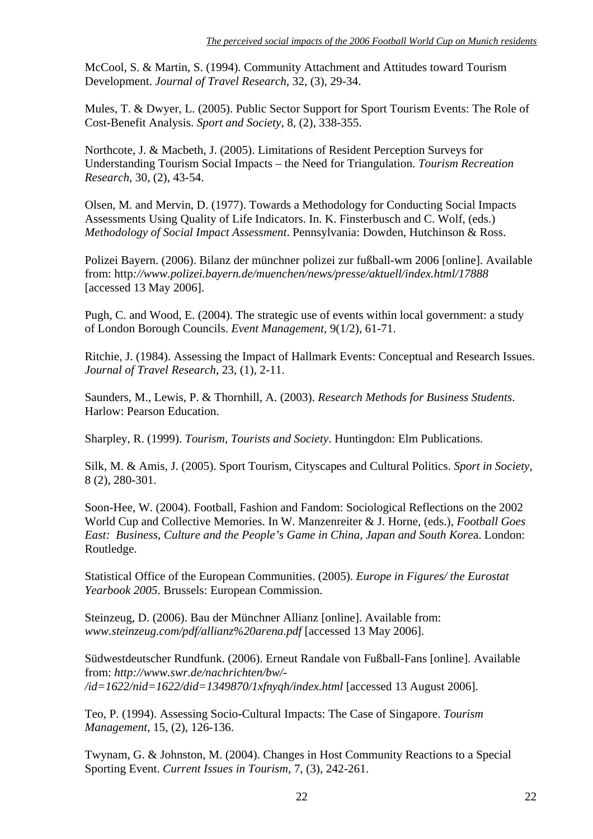McCool, S. & Martin, S. (1994). Community Attachment and Attitudes toward Tourism Development. *Journal of Travel Research*, 32, (3), 29-34.

Mules, T. & Dwyer, L. (2005). Public Sector Support for Sport Tourism Events: The Role of Cost-Benefit Analysis. *Sport and Society*, 8, (2), 338-355.

Northcote, J. & Macbeth, J. (2005). Limitations of Resident Perception Surveys for Understanding Tourism Social Impacts – the Need for Triangulation. *Tourism Recreation Research*, 30, (2), 43-54.

Olsen, M. and Mervin, D. (1977). Towards a Methodology for Conducting Social Impacts Assessments Using Quality of Life Indicators. In. K. Finsterbusch and C. Wolf, (eds.) *Methodology of Social Impact Assessment*. Pennsylvania: Dowden, Hutchinson & Ross.

Polizei Bayern. (2006). Bilanz der münchner polizei zur fußball-wm 2006 [online]. Available from: http*://www.polizei.bayern.de/muenchen/news/presse/aktuell/index.html/17888* [accessed 13 May 2006].

Pugh, C. and Wood, E. (2004). The strategic use of events within local government: a study of London Borough Councils. *Event Management*, 9(1/2), 61-71.

Ritchie, J. (1984). Assessing the Impact of Hallmark Events: Conceptual and Research Issues. *Journal of Travel Research*, 23, (1), 2-11.

Saunders, M., Lewis, P. & Thornhill, A. (2003). *Research Methods for Business Students*. Harlow: Pearson Education.

Sharpley, R. (1999). *Tourism, Tourists and Society*. Huntingdon: Elm Publications.

Silk, M. & Amis, J. (2005). Sport Tourism, Cityscapes and Cultural Politics. *Sport in Society*, 8 (2), 280-301.

Soon-Hee, W. (2004). Football, Fashion and Fandom: Sociological Reflections on the 2002 World Cup and Collective Memories. In W. Manzenreiter & J. Horne, (eds.), *Football Goes East: Business, Culture and the People's Game in China, Japan and South Kore*a. London: Routledge.

Statistical Office of the European Communities. (2005). *Europe in Figures/ the Eurostat Yearbook 2005*. Brussels: European Commission.

Steinzeug, D. (2006). Bau der Münchner Allianz [online]. Available from: *www.steinzeug.com/pdf/allianz%20arena.pdf* [accessed 13 May 2006].

Südwestdeutscher Rundfunk. (2006). Erneut Randale von Fußball-Fans [online]. Available from: *http://www.swr.de/nachrichten/bw/- /id=1622/nid=1622/did=1349870/1xfnyqh/index.html* [accessed 13 August 2006].

Teo, P. (1994). Assessing Socio-Cultural Impacts: The Case of Singapore. *Tourism Management*, 15, (2), 126-136.

Twynam, G. & Johnston, M. (2004). Changes in Host Community Reactions to a Special Sporting Event. *Current Issues in Tourism*, 7, (3), 242-261.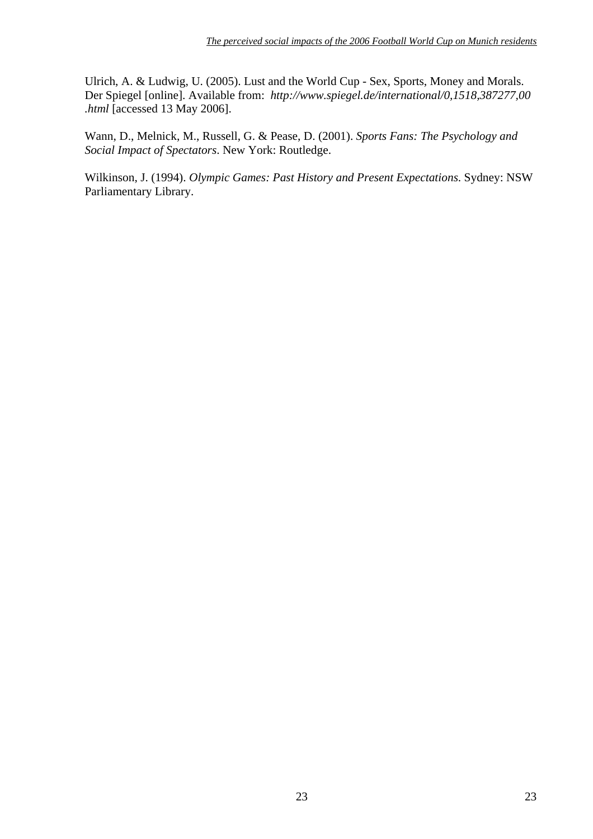Ulrich, A. & Ludwig, U. (2005). Lust and the World Cup - Sex, Sports, Money and Morals. Der Spiegel [online]. Available from: *http://www.spiegel.de/international/0,1518,387277,00 [.html](http://www.spiegel.de/international/0,1518,387277,00.html)* [accessed 13 May 2006].

Wann, D., Melnick, M., Russell, G. & Pease, D. (2001). *Sports Fans: The Psychology and Social Impact of Spectators*. New York: Routledge.

Wilkinson, J. (1994). *Olympic Games: Past History and Present Expectations*. Sydney: NSW Parliamentary Library.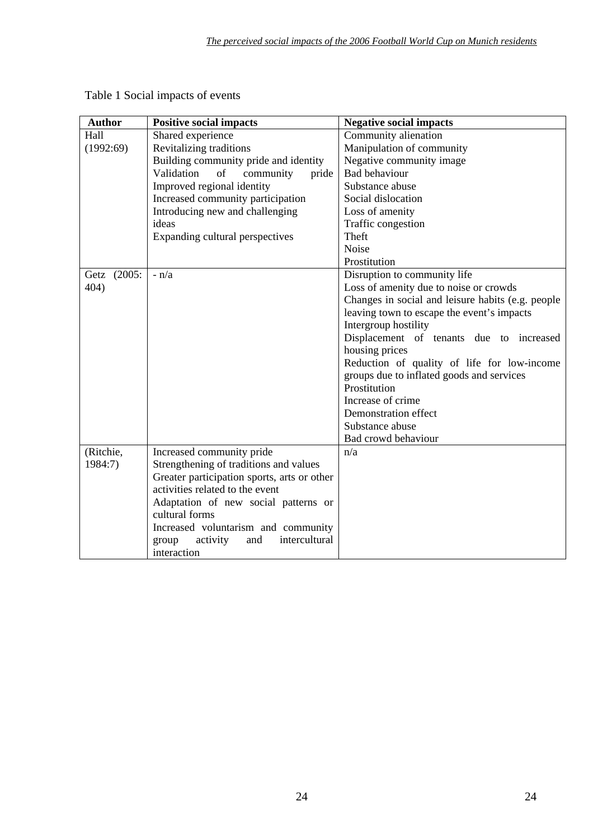| <b>Author</b> | <b>Positive social impacts</b>              | <b>Negative social impacts</b>                    |  |  |
|---------------|---------------------------------------------|---------------------------------------------------|--|--|
| Hall          | Shared experience                           | Community alienation                              |  |  |
| (1992:69)     | Revitalizing traditions                     | Manipulation of community                         |  |  |
|               | Building community pride and identity       | Negative community image                          |  |  |
|               | Validation<br>of<br>community<br>pride      | <b>Bad behaviour</b>                              |  |  |
|               | Improved regional identity                  | Substance abuse                                   |  |  |
|               | Increased community participation           | Social dislocation                                |  |  |
|               | Introducing new and challenging             | Loss of amenity                                   |  |  |
|               | ideas                                       | Traffic congestion                                |  |  |
|               | Expanding cultural perspectives             | Theft                                             |  |  |
|               |                                             | Noise                                             |  |  |
|               |                                             | Prostitution                                      |  |  |
| Getz (2005:   | $- n/a$                                     | Disruption to community life                      |  |  |
| 404)          |                                             | Loss of amenity due to noise or crowds            |  |  |
|               |                                             | Changes in social and leisure habits (e.g. people |  |  |
|               |                                             | leaving town to escape the event's impacts        |  |  |
|               |                                             | Intergroup hostility                              |  |  |
|               |                                             | Displacement of tenants due to increased          |  |  |
|               |                                             | housing prices                                    |  |  |
|               |                                             | Reduction of quality of life for low-income       |  |  |
|               |                                             | groups due to inflated goods and services         |  |  |
|               |                                             | Prostitution                                      |  |  |
|               |                                             | Increase of crime                                 |  |  |
|               |                                             | Demonstration effect                              |  |  |
|               |                                             | Substance abuse                                   |  |  |
|               |                                             | Bad crowd behaviour                               |  |  |
| (Ritchie,     | Increased community pride                   | n/a                                               |  |  |
| 1984:7)       | Strengthening of traditions and values      |                                                   |  |  |
|               | Greater participation sports, arts or other |                                                   |  |  |
|               | activities related to the event             |                                                   |  |  |
|               | Adaptation of new social patterns or        |                                                   |  |  |
|               | cultural forms                              |                                                   |  |  |
|               | Increased voluntarism and community         |                                                   |  |  |
|               | intercultural<br>activity<br>group<br>and   |                                                   |  |  |
|               | interaction                                 |                                                   |  |  |

# Table 1 Social impacts of events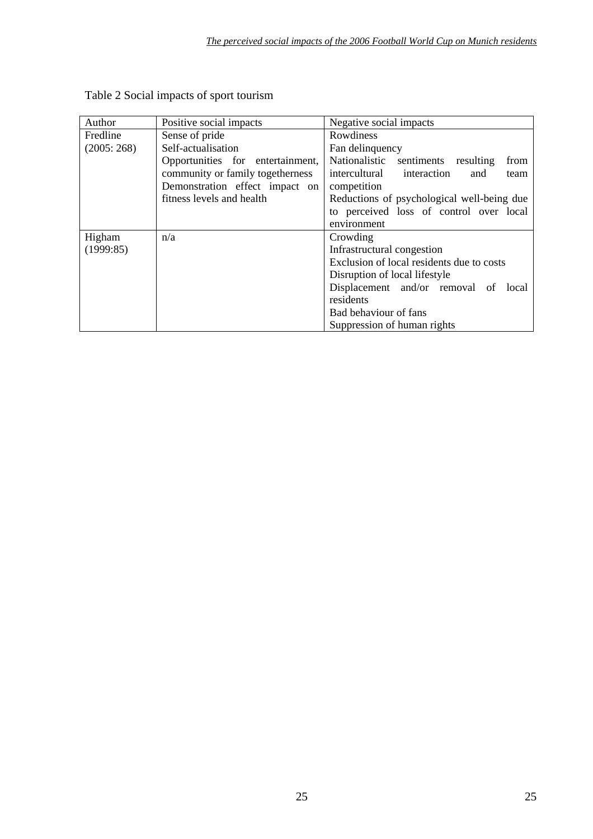| Author     | Positive social impacts          | Negative social impacts                     |  |  |  |
|------------|----------------------------------|---------------------------------------------|--|--|--|
|            |                                  |                                             |  |  |  |
| Fredline   | Sense of pride                   | Rowdiness                                   |  |  |  |
| (2005:268) | Self-actualisation               | Fan delinquency                             |  |  |  |
|            | Opportunities for entertainment, | Nationalistic sentiments resulting<br>from  |  |  |  |
|            | community or family togetherness | intercultural<br>interaction<br>and<br>team |  |  |  |
|            | Demonstration effect impact on   | competition                                 |  |  |  |
|            | fitness levels and health        | Reductions of psychological well-being due  |  |  |  |
|            |                                  | to perceived loss of control over local     |  |  |  |
|            |                                  | environment                                 |  |  |  |
| Higham     | n/a                              | Crowding                                    |  |  |  |
| (1999:85)  |                                  | Infrastructural congestion                  |  |  |  |
|            |                                  | Exclusion of local residents due to costs   |  |  |  |
|            |                                  | Disruption of local lifestyle               |  |  |  |
|            |                                  | Displacement and/or removal of<br>local     |  |  |  |
|            |                                  | residents                                   |  |  |  |
|            |                                  | Bad behaviour of fans                       |  |  |  |
|            |                                  | Suppression of human rights                 |  |  |  |

# Table 2 Social impacts of sport tourism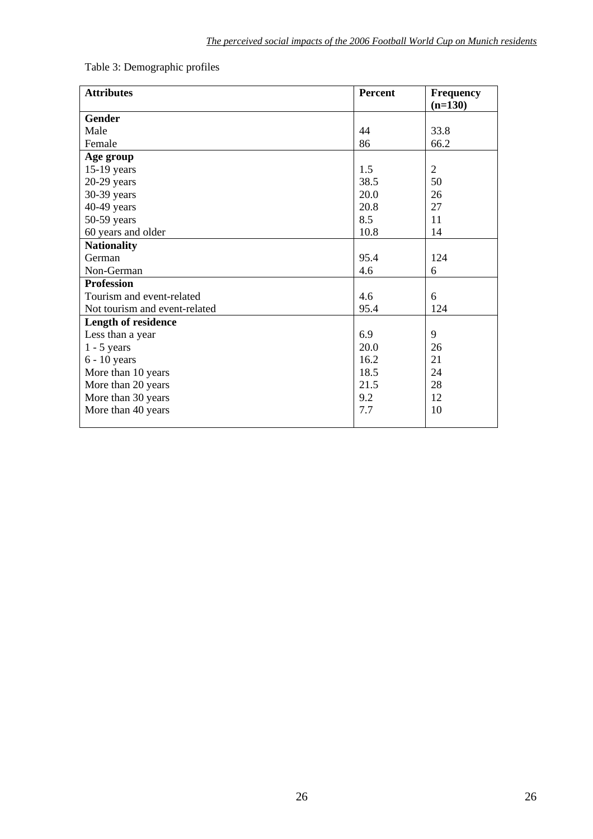| <b>Attributes</b>             | <b>Percent</b> | <b>Frequency</b> |
|-------------------------------|----------------|------------------|
|                               |                | $(n=130)$        |
| <b>Gender</b>                 |                |                  |
| Male                          | 44             | 33.8             |
| Female                        | 86             | 66.2             |
| Age group                     |                |                  |
| $15-19$ years                 | 1.5            | $\overline{2}$   |
| $20-29$ years                 | 38.5           | 50               |
| 30-39 years                   | 20.0           | 26               |
| 40-49 years                   | 20.8           | 27               |
| 50-59 years                   | 8.5            | 11               |
| 60 years and older            | 10.8           | 14               |
| <b>Nationality</b>            |                |                  |
| German                        | 95.4           | 124              |
| Non-German                    | 4.6            | 6                |
| <b>Profession</b>             |                |                  |
| Tourism and event-related     | 4.6            | 6                |
| Not tourism and event-related | 95.4           | 124              |
| <b>Length of residence</b>    |                |                  |
| Less than a year              | 6.9            | 9                |
| $1 - 5$ years                 | 20.0           | 26               |
| $6 - 10$ years                | 16.2           | 21               |
| More than 10 years            | 18.5           | 24               |
| More than 20 years            | 21.5           | 28               |
| More than 30 years            | 9.2            | 12               |
| More than 40 years            | 7.7            | 10               |
|                               |                |                  |

# Table 3: Demographic profiles